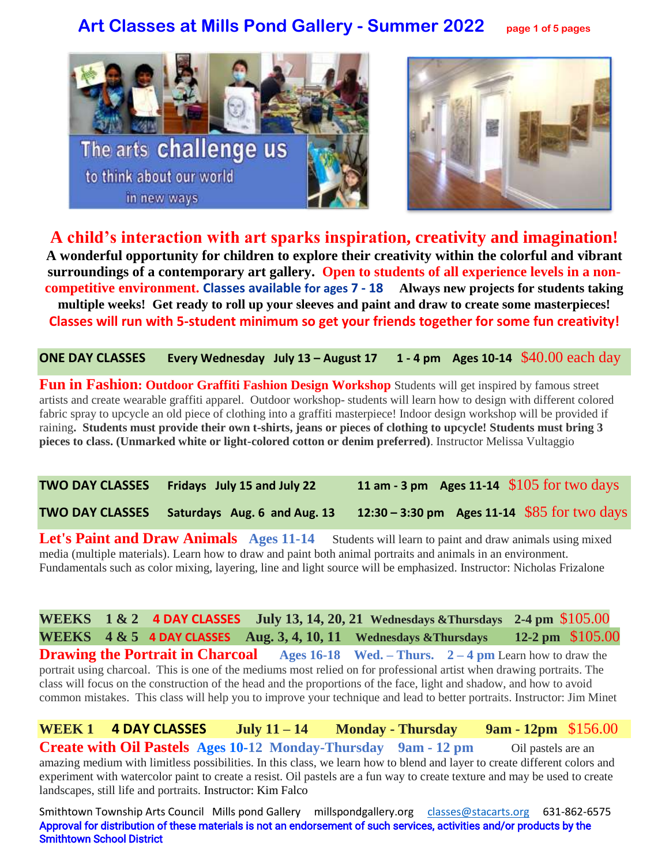# **Art Classes at Mills Pond Gallery - Summer 2022 page 1 of 5 pages**





**A child's interaction with art sparks inspiration, creativity and imagination! A wonderful opportunity for children to explore their creativity within the colorful and vibrant surroundings of a contemporary art gallery. Open to students of all experience levels in a noncompetitive environment. Classes available for ages 7 - 18 Always new projects for students taking multiple weeks! Get ready to roll up your sleeves and paint and draw to create some masterpieces! Classes will run with 5-student minimum so get your friends together for some fun creativity!**

**ONE DAY CLASSES Every Wednesday July 13 – August 17 1 - 4 pm Ages 10-14** \$40.00 each day

**Fun in Fashion: Outdoor Graffiti Fashion Design Workshop** Students will get inspired by famous street artists and create wearable graffiti apparel. Outdoor workshop- students will learn how to design with different colored fabric spray to upcycle an old piece of clothing into a graffiti masterpiece! Indoor design workshop will be provided if raining**. Students must provide their own t-shirts, jeans or pieces of clothing to upcycle! Students must bring 3 pieces to class. (Unmarked white or light-colored cotton or denim preferred)**. Instructor Melissa Vultaggio

**TWO DAY CLASSES Fridays July 15 and July 22 11 am - 3 pm Ages 11-14** \$105 for two days **TWO DAY CLASSES Saturdays Aug. 6 and Aug. 13 12:30 – 3:30 pm Ages 11-14** \$85 for two days

Let's Paint and Draw Animals Ages 11-14 Students will learn to paint and draw animals using mixed media (multiple materials). Learn how to draw and paint both animal portraits and animals in an environment. Fundamentals such as color mixing, layering, line and light source will be emphasized. Instructor: Nicholas Frizalone

**WEEKS 1 & 2 4 DAY CLASSES July 13, 14, 20, 21 Wednesdays &Thursdays 2-4 pm** \$105.00 **WEEKS 4 & 5 4 DAY CLASSES Aug. 3, 4, 10, 11 Wednesdays &Thursdays 12-2 pm** \$105.00 **Drawing the Portrait in Charcoal Ages 16-18 Wed. – Thurs.** 2 – 4 pm Learn how to draw the portrait using charcoal. This is one of the mediums most relied on for professional artist when drawing portraits. The class will focus on the construction of the head and the proportions of the face, light and shadow, and how to avoid common mistakes. This class will help you to improve your technique and lead to better portraits. Instructor: Jim Minet

**WEEK 1 4 DAY CLASSES July 11 – 14 Monday - Thursday 9am - 12pm** \$156.00 **Create with Oil Pastels Ages 10-12 Monday-Thursday 9am - 12 pm Oil pastels are an** amazing medium with limitless possibilities. In this class, we learn how to blend and layer to create different colors and experiment with watercolor paint to create a resist. Oil pastels are a fun way to create texture and may be used to create landscapes, still life and portraits. Instructor: Kim Falco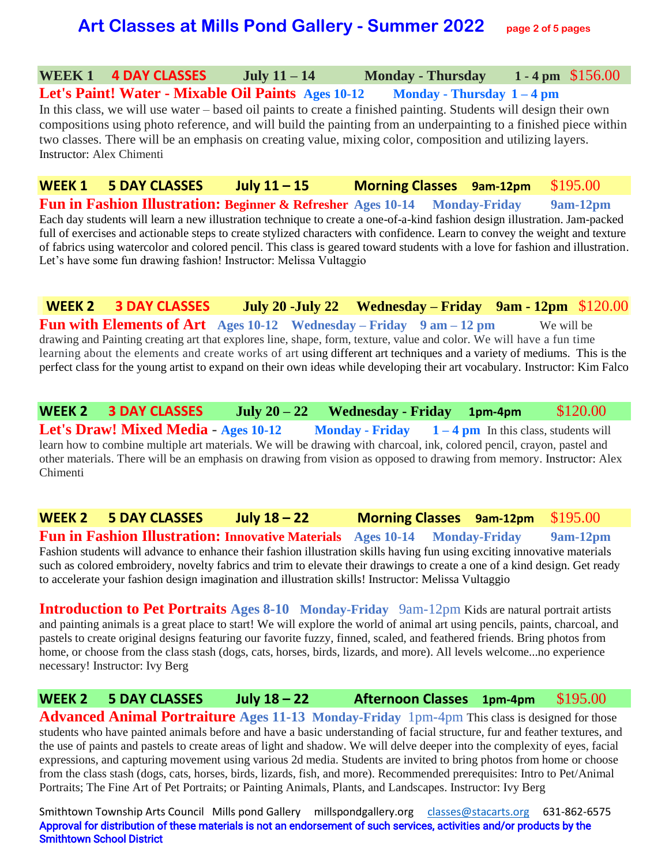## **Art Classes at Mills Pond Gallery - Summer 2022 page 2 of 5 pages**

#### **WEEK 1 4 DAY CLASSES July 11 – 14 Monday - Thursday 1 - 4 pm** \$156.00

**Let's Paint! Water - Mixable Oil Paints Ages 10-12 Monday - Thursday 1 – 4 pm**  In this class, we will use water – based oil paints to create a finished painting. Students will design their own compositions using photo reference, and will build the painting from an underpainting to a finished piece within two classes. There will be an emphasis on creating value, mixing color, composition and utilizing layers. Instructor: Alex Chimenti

**WEEK 1 5 DAY CLASSES July 11 – 15 Morning Classes 9am-12pm** \$195.00 **Fun in Fashion Illustration: Beginner & Refresher Ages 10-14 Monday-Friday 9am-12pm** Each day students will learn a new illustration technique to create a one-of-a-kind fashion design illustration. Jam-packed full of exercises and actionable steps to create stylized characters with confidence. Learn to convey the weight and texture of fabrics using watercolor and colored pencil. This class is geared toward students with a love for fashion and illustration. Let's have some fun drawing fashion! Instructor: Melissa Vultaggio

**WEEK 2 3 DAY CLASSES July 20 -July 22 Wednesday – Friday 9am - 12pm** \$120.00 **Fun with Elements of Art Ages 10-12 Wednesday – Friday 9 am – 12 pm** We will be drawing and Painting creating art that explores line, shape, form, texture, value and color. We will have a fun time learning about the elements and create works of art using different art techniques and a variety of mediums. This is the perfect class for the young artist to expand on their own ideas while developing their art vocabulary. Instructor: Kim Falco

**WEEK 2 3 DAY CLASSES July 20 – 22 Wednesday - Friday 1pm-4pm** \$120.00 **Let's Draw! Mixed Media** - **Ages 10-12 Monday - Friday 1 – 4 pm** In this class, students will learn how to combine multiple art materials. We will be drawing with charcoal, ink, colored pencil, crayon, pastel and other materials. There will be an emphasis on drawing from vision as opposed to drawing from memory. Instructor: Alex Chimenti

**WEEK 2 5 DAY CLASSES July 18 – 22 Morning Classes 9am-12pm** \$195.00 **Fun in Fashion Illustration: Innovative Materials Ages 10-14 Monday-Friday 9am-12pm**  Fashion students will advance to enhance their fashion illustration skills having fun using exciting innovative materials such as colored embroidery, novelty fabrics and trim to elevate their drawings to create a one of a kind design. Get ready to accelerate your fashion design imagination and illustration skills! Instructor: Melissa Vultaggio

**Introduction to Pet Portraits Ages 8-10 Monday-Friday** 9am-12pm Kids are natural portrait artists and painting animals is a great place to start! We will explore the world of animal art using pencils, paints, charcoal, and pastels to create original designs featuring our favorite fuzzy, finned, scaled, and feathered friends. Bring photos from home, or choose from the class stash (dogs, cats, horses, birds, lizards, and more). All levels welcome...no experience necessary! Instructor: Ivy Berg

**WEEK 2 5 DAY CLASSES July 18 – 22 Afternoon Classes 1pm-4pm** \$195.00 **Advanced Animal Portraiture Ages 11-13 Monday-Friday** 1pm-4pm This class is designed for those students who have painted animals before and have a basic understanding of facial structure, fur and feather textures, and the use of paints and pastels to create areas of light and shadow. We will delve deeper into the complexity of eyes, facial expressions, and capturing movement using various 2d media. Students are invited to bring photos from home or choose from the class stash (dogs, cats, horses, birds, lizards, fish, and more). Recommended prerequisites: Intro to Pet/Animal Portraits; The Fine Art of Pet Portraits; or Painting Animals, Plants, and Landscapes. Instructor: Ivy Berg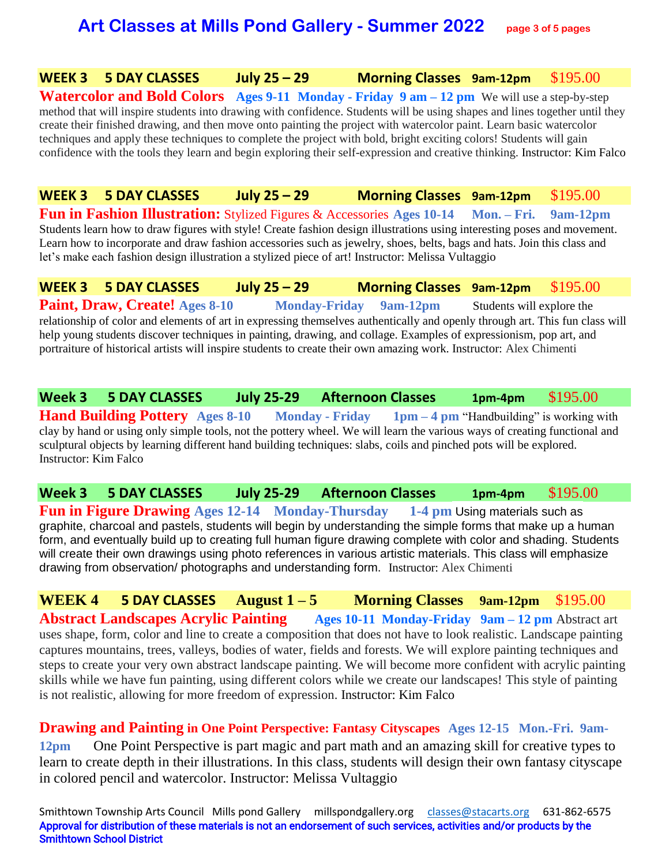# **Art Classes at Mills Pond Gallery - Summer 2022 page 3 of 5 pages**

#### **WEEK 3 5 DAY CLASSES July 25 – 29 Morning Classes 9am-12pm** \$195.00

**Watercolor and Bold Colors Ages 9-11 Monday - Friday 9 am – 12 pm** We will use a step-by-step method that will inspire students into drawing with confidence. Students will be using shapes and lines together until they create their finished drawing, and then move onto painting the project with watercolor paint. Learn basic watercolor techniques and apply these techniques to complete the project with bold, bright exciting colors! Students will gain confidence with the tools they learn and begin exploring their self-expression and creative thinking. Instructor: Kim Falco

**WEEK 3 5 DAY CLASSES July 25 – 29 Morning Classes 9am-12pm** \$195.00 **Fun in Fashion Illustration:** Stylized Figures & Accessories **Ages 10-14 Mon. – Fri. 9am-12pm**  Students learn how to draw figures with style! Create fashion design illustrations using interesting poses and movement. Learn how to incorporate and draw fashion accessories such as jewelry, shoes, belts, bags and hats. Join this class and let's make each fashion design illustration a stylized piece of art! Instructor: Melissa Vultaggio

**WEEK 3 5 DAY CLASSES July 25 – 29 Morning Classes 9am-12pm** \$195.00 **Paint, Draw, Create!** Ages 8-10 **Monday-Friday 9am-12pm** Students will explore the relationship of color and elements of art in expressing themselves authentically and openly through art. This fun class will help young students discover techniques in painting, drawing, and collage. Examples of expressionism, pop art, and portraiture of historical artists will inspire students to create their own amazing work. Instructor: Alex Chimenti

**Week 3 5 DAY CLASSES July 25-29 Afternoon Classes 1pm-4pm** \$195.00 **Hand Building Pottery Ages 8-10 Monday - Friday 1pm – 4 pm** "Handbuilding" is working with clay by hand or using only simple tools, not the pottery wheel. We will learn the various ways of creating functional and sculptural objects by learning different hand building techniques: slabs, coils and pinched pots will be explored. Instructor: Kim Falco

**Week 3 5 DAY CLASSES July 25-29 Afternoon Classes 1pm-4pm** \$195.00 **Fun in Figure Drawing Ages 12-14 Monday-Thursday 1-4 pm Using materials such as** graphite, charcoal and pastels, students will begin by understanding the simple forms that make up a human form, and eventually build up to creating full human figure drawing complete with color and shading. Students will create their own drawings using photo references in various artistic materials. This class will emphasize drawing from observation/ photographs and understanding form. Instructor: Alex Chimenti

**WEEK 4 5 DAY CLASSES August**  $1-5$  **<b>Morning Classes**  $9am-12pm$  \$195.00 **Abstract Landscapes Acrylic Painting Ages 10-11 Monday-Friday 9am – 12 pm** Abstract art uses shape, form, color and line to create a composition that does not have to look realistic. Landscape painting captures mountains, trees, valleys, bodies of water, fields and forests. We will explore painting techniques and steps to create your very own abstract landscape painting. We will become more confident with acrylic painting skills while we have fun painting, using different colors while we create our landscapes! This style of painting is not realistic, allowing for more freedom of expression. Instructor: Kim Falco

**Drawing and Painting in One Point Perspective: Fantasy Cityscapes Ages 12-15 Mon.-Fri. 9am-12pm** One Point Perspective is part magic and part math and an amazing skill for creative types to learn to create depth in their illustrations. In this class, students will design their own fantasy cityscape in colored pencil and watercolor. Instructor: Melissa Vultaggio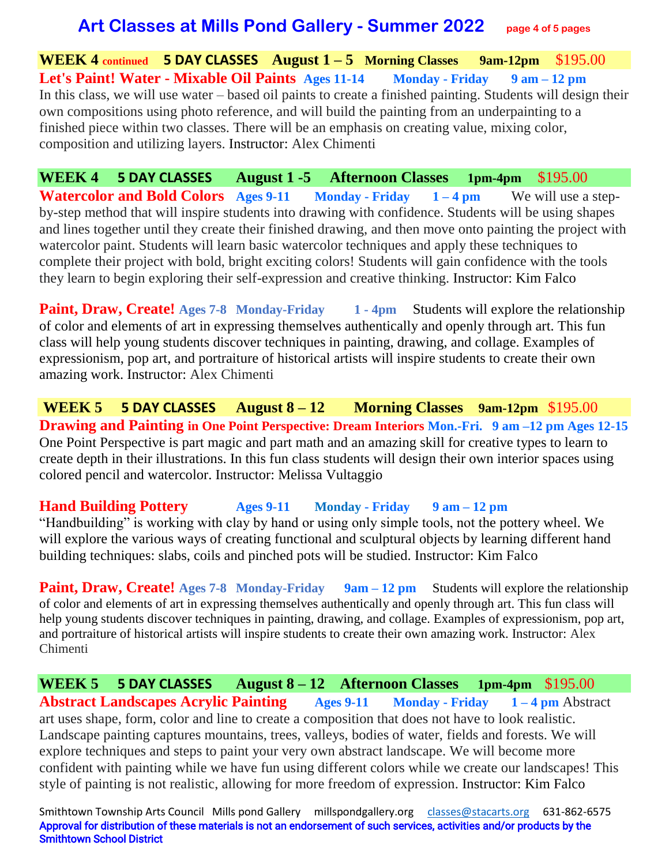## **Art Classes at Mills Pond Gallery - Summer 2022 page 4 of 5 pages**

**WEEK 4 continued 5 DAY CLASSES August 1 – 5 Morning Classes 9am-12pm** \$195.00 **Let's Paint! Water - Mixable Oil Paints Ages 11-14 Monday - Friday 9 am – 12 pm**  In this class, we will use water – based oil paints to create a finished painting. Students will design their own compositions using photo reference, and will build the painting from an underpainting to a finished piece within two classes. There will be an emphasis on creating value, mixing color, composition and utilizing layers. Instructor: Alex Chimenti

**WEEK 4 5 DAY CLASSES August 1 -5 Afternoon Classes 1pm-4pm** \$195.00 **Watercolor and Bold Colors Ages 9-11 Monday - Friday** 1 – 4 pm We will use a stepby-step method that will inspire students into drawing with confidence. Students will be using shapes and lines together until they create their finished drawing, and then move onto painting the project with watercolor paint. Students will learn basic watercolor techniques and apply these techniques to complete their project with bold, bright exciting colors! Students will gain confidence with the tools they learn to begin exploring their self-expression and creative thinking. Instructor: Kim Falco

**Paint, Draw, Create!** Ages 7-8 Monday-Friday 1 - 4pm Students will explore the relationship of color and elements of art in expressing themselves authentically and openly through art. This fun class will help young students discover techniques in painting, drawing, and collage. Examples of expressionism, pop art, and portraiture of historical artists will inspire students to create their own amazing work. Instructor: Alex Chimenti

**WEEK 5 5 DAY CLASSES August 8 – 12 Morning Classes 9am-12pm** \$195.00 **Drawing and Painting in One Point Perspective: Dream Interiors Mon.-Fri. 9 am –12 pm Ages 12-15** One Point Perspective is part magic and part math and an amazing skill for creative types to learn to create depth in their illustrations. In this fun class students will design their own interior spaces using colored pencil and watercolor. Instructor: Melissa Vultaggio

#### **Hand Building Pottery Ages 9-11 Monday - Friday 9 am – 12 pm**

"Handbuilding" is working with clay by hand or using only simple tools, not the pottery wheel. We will explore the various ways of creating functional and sculptural objects by learning different hand building techniques: slabs, coils and pinched pots will be studied. Instructor: Kim Falco

**Paint, Draw, Create!** Ages 7-8 Monday-Friday 9am – 12 pm Students will explore the relationship of color and elements of art in expressing themselves authentically and openly through art. This fun class will help young students discover techniques in painting, drawing, and collage. Examples of expressionism, pop art, and portraiture of historical artists will inspire students to create their own amazing work. Instructor: Alex Chimenti

**WEEK 5 5 DAY CLASSES August 8 – 12 Afternoon Classes 1pm-4pm** \$195.00 **Abstract Landscapes Acrylic Painting Ages 9-11 Monday - Friday 1 – 4 pm** Abstract art uses shape, form, color and line to create a composition that does not have to look realistic. Landscape painting captures mountains, trees, valleys, bodies of water, fields and forests. We will explore techniques and steps to paint your very own abstract landscape. We will become more confident with painting while we have fun using different colors while we create our landscapes! This style of painting is not realistic, allowing for more freedom of expression. Instructor: Kim Falco